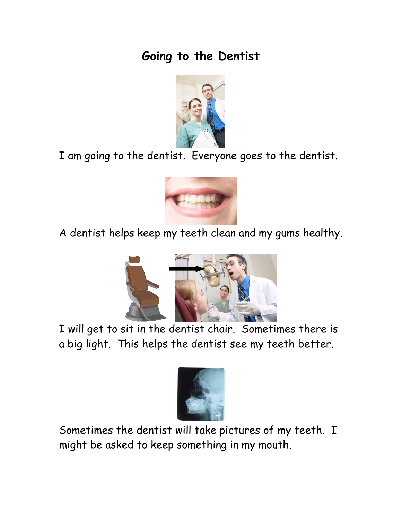## **Going to the Dentist**



I am going to the dentist. Everyone goes to the dentist.



A dentist helps keep my teeth clean and my gums healthy.



I will get to sit in the dentist chair. Sometimes there is a big light. This helps the dentist see my teeth better.



Sometimes the dentist will take pictures of my teeth. I might be asked to keep something in my mouth.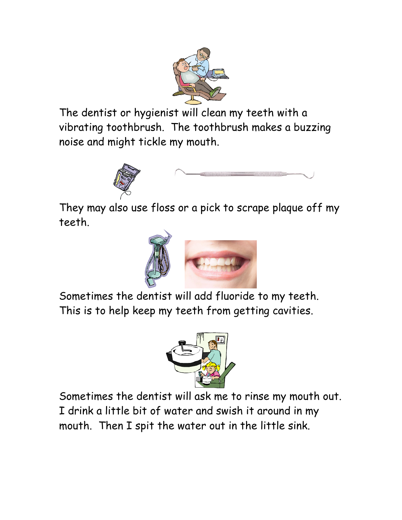

The dentist or hygienist will clean my teeth with a vibrating toothbrush. The toothbrush makes a buzzing noise and might tickle my mouth.



They may also use floss or a pick to scrape plaque off my teeth.



Sometimes the dentist will add fluoride to my teeth. This is to help keep my teeth from getting cavities.



Sometimes the dentist will ask me to rinse my mouth out. I drink a little bit of water and swish it around in my mouth. Then I spit the water out in the little sink.